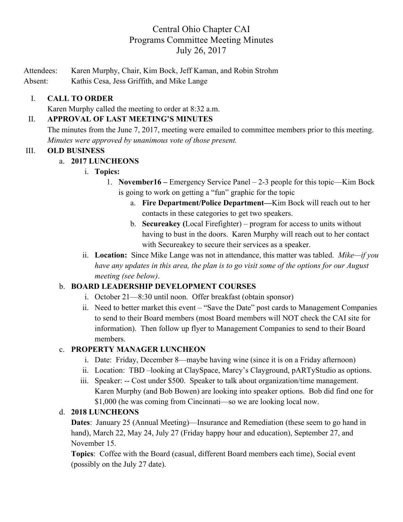# Central Ohio Chapter CAI Programs Committee Meeting Minutes July 26, 2017

Attendees: Karen Murphy, Chair, Kim Bock, Jeff Kaman, and Robin Strohm

Absent: Kathis Cesa, Jess Griffith, and Mike Lange

## I. **CALL TO ORDER**

Karen Murphy called the meeting to order at 8:32 a.m.

#### II. **APPROVAL OF LAST MEETING'S MINUTES**

The minutes from the June 7, 2017, meeting were emailed to committee members prior to this meeting. *Minutes were approved by unanimous vote of those present.*

#### III. **OLD BUSINESS**

### a. **2017 LUNCHEONS**

- i. **Topics:**
	- 1. **November16 –** Emergency Service Panel 2-3 people for this topic—Kim Bock is going to work on getting a "fun" graphic for the topic
		- a. **Fire Department/Police Department—**Kim Bock will reach out to her contacts in these categories to get two speakers.
		- b. **Secureakey (**Local Firefighter) program for access to units without having to bust in the doors. Karen Murphy will reach out to her contact with Secureakey to secure their services as a speaker.
- ii. **Location:** Since Mike Lange was not in attendance, this matter was tabled. *Mike—if you have any updates in this area, the plan is to go visit some of the options for our August meeting (see below)*.

### b. **BOARD LEADERSHIP DEVELOPMENT COURSES**

- i. October 21—8:30 until noon. Offer breakfast (obtain sponsor)
- ii. Need to better market this event "Save the Date" post cards to Management Companies to send to their Board members (most Board members will NOT check the CAI site for information). Then follow up flyer to Management Companies to send to their Board members.

### c. **PROPERTY MANAGER LUNCHEON**

- i. Date: Friday, December 8—maybe having wine (since it is on a Friday afternoon)
- ii. Location: TBD –looking at ClaySpace, Marcy's Clayground, pARTyStudio as options.
- iii. Speaker: -- Cost under \$500. Speaker to talk about organization/time management. Karen Murphy (and Bob Bowen) are looking into speaker options. Bob did find one for \$1,000 (he was coming from Cincinnati—so we are looking local now.

### d. **2018 LUNCHEONS**

**Dates**: January 25 (Annual Meeting)—Insurance and Remediation (these seem to go hand in hand), March 22, May 24, July 27 (Friday happy hour and education), September 27, and November 15.

**Topics**: Coffee with the Board (casual, different Board members each time), Social event (possibly on the July 27 date).